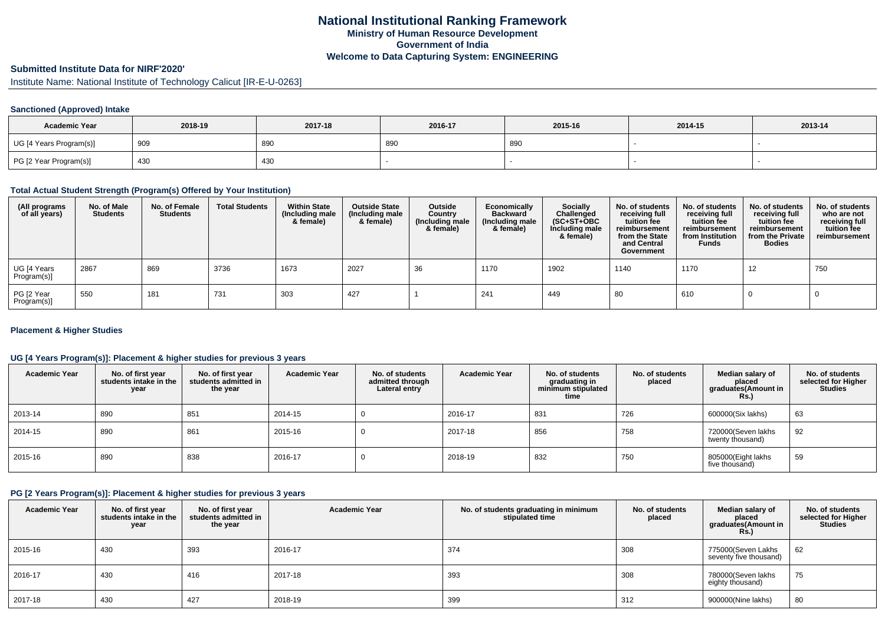# **Submitted Institute Data for NIRF'2020'**

Institute Name: National Institute of Technology Calicut [IR-E-U-0263]

### **Sanctioned (Approved) Intake**

| <b>Academic Year</b>    | 2018-19 | 2017-18 | 2016-17 | 2015-16 | 2014-15 | 2013-14 |
|-------------------------|---------|---------|---------|---------|---------|---------|
| UG [4 Years Program(s)] | 909     | 890     | 890     | 890     |         |         |
| PG [2 Year Program(s)]  | 430     | 430     |         |         |         |         |

#### **Total Actual Student Strength (Program(s) Offered by Your Institution)**

| (All programs<br>of all years) | No. of Male<br><b>Students</b> | No. of Female<br>Students | <b>Total Students</b> | <b>Within State</b><br>(Including male<br>& female) | <b>Outside State</b><br>(Including male<br>& female) | Outside<br>Country<br>(Including male<br>& female) | Economically<br><b>Backward</b><br>(Including male<br>& female) | Socially<br>Challenged<br>$(SC+ST+OBC)$<br>Including male<br>& female) | No. of students<br>receiving full<br>tuition fee<br>reimbursement<br>from the State<br>and Central<br>Government | No. of students<br>receiving full<br>tuition fee<br>reimbursement<br>from Institution<br><b>Funds</b> | No. of students<br>receiving full<br>tuition fee<br>reimbursement<br>from the Private<br><b>Bodies</b> | No. of students<br>who are not<br>receiving full<br>tuition fee<br>reimbursement |
|--------------------------------|--------------------------------|---------------------------|-----------------------|-----------------------------------------------------|------------------------------------------------------|----------------------------------------------------|-----------------------------------------------------------------|------------------------------------------------------------------------|------------------------------------------------------------------------------------------------------------------|-------------------------------------------------------------------------------------------------------|--------------------------------------------------------------------------------------------------------|----------------------------------------------------------------------------------|
| UG [4 Years<br>Program(s)]     | 2867                           | 869                       | 3736                  | 1673                                                | 2027                                                 | 36                                                 | 1170                                                            | 1902                                                                   | 1140                                                                                                             | 1170                                                                                                  | 12                                                                                                     | 750                                                                              |
| PG [2 Year<br>Program(s)]      | 550                            | 181                       | 731                   | 303                                                 | 427                                                  |                                                    | 241                                                             | 449                                                                    | 80                                                                                                               | 610                                                                                                   |                                                                                                        |                                                                                  |

### **Placement & Higher Studies**

### **UG [4 Years Program(s)]: Placement & higher studies for previous 3 years**

| <b>Academic Year</b> | No. of first year<br>students intake in the<br>year | No. of first vear<br>students admitted in<br>the year | <b>Academic Year</b> | No. of students<br>admitted through<br>Lateral entry | <b>Academic Year</b> | No. of students<br>graduating in<br>minimum stipulated<br>time | No. of students<br>placed | Median salary of<br>placed<br>graduates(Amount in<br>Rs. | No. of students<br>selected for Higher<br><b>Studies</b> |
|----------------------|-----------------------------------------------------|-------------------------------------------------------|----------------------|------------------------------------------------------|----------------------|----------------------------------------------------------------|---------------------------|----------------------------------------------------------|----------------------------------------------------------|
| 2013-14              | 890                                                 | 851                                                   | 2014-15              |                                                      | 2016-17              | 831                                                            | 726                       | 600000(Six lakhs)                                        | 63                                                       |
| 2014-15              | 890                                                 | 861                                                   | 2015-16              |                                                      | 2017-18              | 856                                                            | 758                       | 720000(Seven lakhs<br>twenty thousand)                   | 92                                                       |
| 2015-16              | 890                                                 | 838                                                   | 2016-17              |                                                      | 2018-19              | 832                                                            | 750                       | 805000(Eight lakhs<br>five thousand)                     | 59                                                       |

## **PG [2 Years Program(s)]: Placement & higher studies for previous 3 years**

| <b>Academic Year</b> | No. of first year<br>students intake in the<br>year | No. of first vear<br>students admitted in<br>the year | <b>Academic Year</b> | No. of students graduating in minimum<br>stipulated time | No. of students<br>placed | Median salary of<br>placed<br>graduates(Amount in<br>Rs.) | No. of students<br>selected for Higher<br><b>Studies</b> |
|----------------------|-----------------------------------------------------|-------------------------------------------------------|----------------------|----------------------------------------------------------|---------------------------|-----------------------------------------------------------|----------------------------------------------------------|
| 2015-16              | 430                                                 | 393                                                   | 2016-17              | 374                                                      | 308                       | 775000(Seven Lakhs<br>seventy five thousand)              | 62                                                       |
| 2016-17              | 430                                                 | 416                                                   | 2017-18              | 393                                                      | 308                       | 780000(Seven lakhs<br>eighty thousand)                    | 75                                                       |
| 2017-18              | 430                                                 | 427                                                   | 2018-19              | 399                                                      | 312                       | 900000(Nine lakhs)                                        | 80                                                       |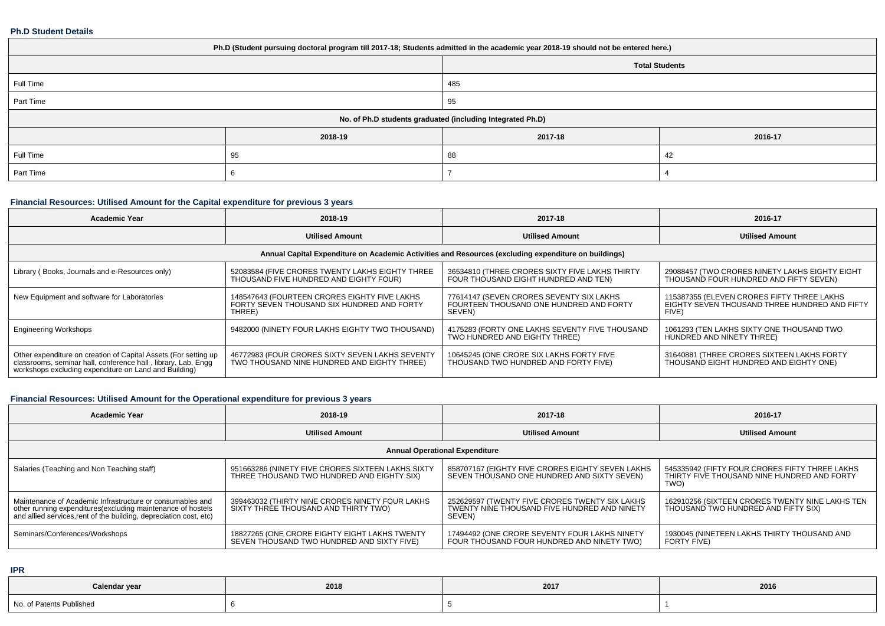### **Ph.D Student Details**

| Ph.D (Student pursuing doctoral program till 2017-18; Students admitted in the academic year 2018-19 should not be entered here.) |         |                       |         |  |
|-----------------------------------------------------------------------------------------------------------------------------------|---------|-----------------------|---------|--|
|                                                                                                                                   |         | <b>Total Students</b> |         |  |
| Full Time                                                                                                                         |         | 485                   |         |  |
| Part Time                                                                                                                         |         | 95                    |         |  |
| No. of Ph.D students graduated (including Integrated Ph.D)                                                                        |         |                       |         |  |
|                                                                                                                                   | 2018-19 | 2017-18               | 2016-17 |  |
| Full Time                                                                                                                         | 95      | 88                    | 42      |  |
| Part Time                                                                                                                         |         |                       |         |  |

### **Financial Resources: Utilised Amount for the Capital expenditure for previous 3 years**

| <b>Academic Year</b>                                                                                                                                                                      | 2018-19                                                                                              | 2017-18                                                                                       | 2016-17                                                                                              |  |  |
|-------------------------------------------------------------------------------------------------------------------------------------------------------------------------------------------|------------------------------------------------------------------------------------------------------|-----------------------------------------------------------------------------------------------|------------------------------------------------------------------------------------------------------|--|--|
|                                                                                                                                                                                           | <b>Utilised Amount</b>                                                                               | <b>Utilised Amount</b>                                                                        | <b>Utilised Amount</b>                                                                               |  |  |
| Annual Capital Expenditure on Academic Activities and Resources (excluding expenditure on buildings)                                                                                      |                                                                                                      |                                                                                               |                                                                                                      |  |  |
| Library (Books, Journals and e-Resources only)                                                                                                                                            | 52083584 (FIVE CRORES TWENTY LAKHS EIGHTY THREE<br>THOUSAND FIVE HUNDRED AND EIGHTY FOUR)            | 36534810 (THREE CRORES SIXTY FIVE LAKHS THIRTY<br>FOUR THOUSAND EIGHT HUNDRED AND TEN)        | 29088457 (TWO CRORES NINETY LAKHS EIGHTY EIGHT<br>THOUSAND FOUR HUNDRED AND FIFTY SEVEN)             |  |  |
| New Equipment and software for Laboratories                                                                                                                                               | 148547643 (FOURTEEN CRORES EIGHTY FIVE LAKHS<br>FORTY SEVEN THOUSAND SIX HUNDRED AND FORTY<br>THREE) | 77614147 (SEVEN CRORES SEVENTY SIX LAKHS<br>FOURTEEN THOUSAND ONE HUNDRED AND FORTY<br>SEVEN) | 115387355 (ELEVEN CRORES FIFTY THREE LAKHS<br>EIGHTY SEVEN THOUSAND THREE HUNDRED AND FIFTY<br>FIVE) |  |  |
| <b>Engineering Workshops</b>                                                                                                                                                              | 9482000 (NINETY FOUR LAKHS EIGHTY TWO THOUSAND)                                                      | 4175283 (FORTY ONE LAKHS SEVENTY FIVE THOUSAND<br>TWO HUNDRED AND EIGHTY THREE)               | 1061293 (TEN LAKHS SIXTY ONE THOUSAND TWO<br>HUNDRED AND NINETY THREE)                               |  |  |
| Other expenditure on creation of Capital Assets (For setting up<br>classrooms, seminar hall, conference hall, library, Lab, Engg<br>workshops excluding expenditure on Land and Building) | 46772983 (FOUR CRORES SIXTY SEVEN LAKHS SEVENTY<br>TWO THOUSAND NINE HUNDRED AND EIGHTY THREE)       | 10645245 (ONE CRORE SIX LAKHS FORTY FIVE<br>THOUSAND TWO HUNDRED AND FORTY FIVE)              | 31640881 (THREE CRORES SIXTEEN LAKHS FORTY<br>THOUSAND EIGHT HUNDRED AND EIGHTY ONE)                 |  |  |

## **Financial Resources: Utilised Amount for the Operational expenditure for previous 3 years**

| <b>Academic Year</b>                                                                                                                                                                            | 2018-19                                                                                         | 2017-18                                                                                                  | 2016-17                                                                                               |  |  |  |
|-------------------------------------------------------------------------------------------------------------------------------------------------------------------------------------------------|-------------------------------------------------------------------------------------------------|----------------------------------------------------------------------------------------------------------|-------------------------------------------------------------------------------------------------------|--|--|--|
|                                                                                                                                                                                                 | <b>Utilised Amount</b>                                                                          | <b>Utilised Amount</b>                                                                                   | <b>Utilised Amount</b>                                                                                |  |  |  |
| <b>Annual Operational Expenditure</b>                                                                                                                                                           |                                                                                                 |                                                                                                          |                                                                                                       |  |  |  |
| Salaries (Teaching and Non Teaching staff)                                                                                                                                                      | 951663286 (NINETY FIVE CRORES SIXTEEN LAKHS SIXTY<br>THREE THOUSAND TWO HUNDRED AND EIGHTY SIX) | 858707167 (EIGHTY FIVE CRORES EIGHTY SEVEN LAKHS<br>SEVEN THOUSAND ONE HUNDRED AND SIXTY SEVEN)          | 545335942 (FIFTY FOUR CRORES FIFTY THREE LAKHS<br>THIRTY FIVE THOUSAND NINE HUNDRED AND FORTY<br>TWO) |  |  |  |
| Maintenance of Academic Infrastructure or consumables and<br>other running expenditures (excluding maintenance of hostels<br>and allied services, rent of the building, depreciation cost, etc) | 399463032 (THIRTY NINE CRORES NINETY FOUR LAKHS<br>SIXTY THREE THOUSAND AND THIRTY TWO)         | 252629597 (TWENTY FIVE CRORES TWENTY SIX LAKHS<br>TWENTY NINE THOUSAND FIVE HUNDRED AND NINETY<br>SEVEN) | 162910256 (SIXTEEN CRORES TWENTY NINE LAKHS TEN<br>THOUSAND TWO HUNDRED AND FIFTY SIX)                |  |  |  |
| Seminars/Conferences/Workshops                                                                                                                                                                  | 18827265 (ONE CRORE EIGHTY EIGHT LAKHS TWENTY<br>SEVEN THOUSAND TWO HUNDRED AND SIXTY FIVE)     | 17494492 (ONE CRORE SEVENTY FOUR LAKHS NINETY<br>FOUR THOUSAND FOUR HUNDRED AND NINETY TWO)              | 1930045 (NINETEEN LAKHS THIRTY THOUSAND AND<br><b>FORTY FIVE)</b>                                     |  |  |  |

### **IPR**

| Calendar year                      | 2018 | 2017 | 2016 |
|------------------------------------|------|------|------|
| No. of Patents<br><b>Published</b> |      |      |      |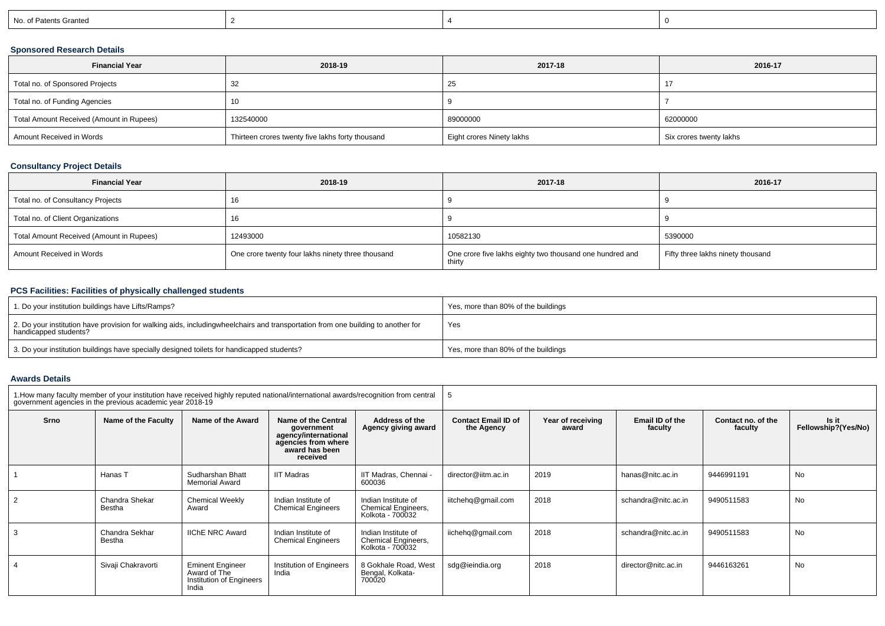| No. of Patents Granted |
|------------------------|
|------------------------|

## **Sponsored Research Details**

| <b>Financial Year</b>                    | 2018-19                                          | 2017-18                   | 2016-17                 |
|------------------------------------------|--------------------------------------------------|---------------------------|-------------------------|
| Total no. of Sponsored Projects          | 32                                               | دے                        |                         |
| Total no. of Funding Agencies            | 10                                               |                           |                         |
| Total Amount Received (Amount in Rupees) | 132540000                                        | 89000000                  | 62000000                |
| Amount Received in Words                 | Thirteen crores twenty five lakhs forty thousand | Eight crores Ninety lakhs | Six crores twenty lakhs |

## **Consultancy Project Details**

| <b>Financial Year</b>                    | 2018-19                                           | 2017-18                                                            | 2016-17                           |
|------------------------------------------|---------------------------------------------------|--------------------------------------------------------------------|-----------------------------------|
| Total no. of Consultancy Projects        |                                                   |                                                                    |                                   |
| Total no. of Client Organizations        |                                                   |                                                                    |                                   |
| Total Amount Received (Amount in Rupees) | 12493000                                          | 10582130                                                           | 5390000                           |
| Amount Received in Words                 | One crore twenty four lakhs ninety three thousand | One crore five lakhs eighty two thousand one hundred and<br>thirty | Fifty three lakhs ninety thousand |

## **PCS Facilities: Facilities of physically challenged students**

| 1. Do your institution buildings have Lifts/Ramps?                                                                                                        | Yes, more than 80% of the buildings |
|-----------------------------------------------------------------------------------------------------------------------------------------------------------|-------------------------------------|
| 2. Do your institution have provision for walking aids, includingwheelchairs and transportation from one building to another for<br>handicapped students? | Yes                                 |
| 3. Do your institution buildings have specially designed toilets for handicapped students?                                                                | Yes, more than 80% of the buildings |

#### **Awards Details**

|                | government agencies in the previous academic year 2018-19 |                                                                              | 1. How many faculty member of your institution have received highly reputed national/international awards/recognition from central |                                                                       | -5                                       |                            |                            |                               |                              |
|----------------|-----------------------------------------------------------|------------------------------------------------------------------------------|------------------------------------------------------------------------------------------------------------------------------------|-----------------------------------------------------------------------|------------------------------------------|----------------------------|----------------------------|-------------------------------|------------------------------|
| Srno           | Name of the Faculty                                       | Name of the Award                                                            | Name of the Central<br>government<br>agency/international<br>agencies from where<br>award has been<br>received                     | Address of the<br>Agency giving award                                 | <b>Contact Email ID of</b><br>the Agency | Year of receiving<br>award | Email ID of the<br>faculty | Contact no. of the<br>faculty | Is it<br>Fellowship?(Yes/No) |
|                | Hanas T                                                   | Sudharshan Bhatt<br>Memorial Award                                           | <b>IIT Madras</b>                                                                                                                  | IIT Madras, Chennai -<br>600036                                       | director@iitm.ac.in                      | 2019                       | hanas@nitc.ac.in           | 9446991191                    | No                           |
| $\overline{2}$ | Chandra Shekar<br>Bestha                                  | <b>Chemical Weekly</b><br>Award                                              | Indian Institute of<br><b>Chemical Engineers</b>                                                                                   | Indian Institute of<br>Chemical Engineers,<br>Kolkota - 700032        | iitchehq@gmail.com                       | 2018                       | schandra@nitc.ac.in        | 9490511583                    | <b>No</b>                    |
| 3              | Chandra Sekhar<br>Bestha                                  | <b>IIChE NRC Award</b>                                                       | Indian Institute of<br><b>Chemical Engineers</b>                                                                                   | Indian Institute of<br><b>Chemical Engineers,</b><br>Kolkota - 700032 | iichehq@gmail.com                        | 2018                       | schandra@nitc.ac.in        | 9490511583                    | No                           |
| 4              | Sivaji Chakravorti                                        | <b>Eminent Engineer</b><br>Award of The<br>Institution of Engineers<br>India | Institution of Engineers<br>India                                                                                                  | 8 Gokhale Road, West<br>Bengal, Kolkata-<br>700020                    | sdg@ieindia.org                          | 2018                       | director@nitc.ac.in        | 9446163261                    | <b>No</b>                    |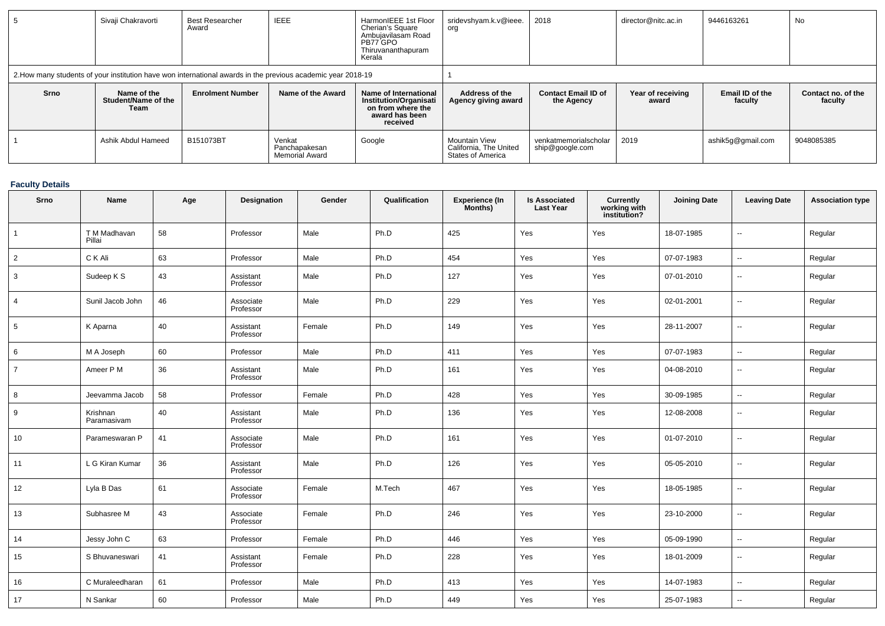|             | Sivaji Chakravorti                         | <b>Best Researcher</b><br>Award | <b>IEEE</b>                                                                                                  | HarmonIEEE 1st Floor<br>Cherian's Square<br>Ambujavilasam Road<br>PB77 GPO<br>Thiruvananthapuram<br>Kerala | sridevshyam.k.v@ieee.<br>org                                        | 2018                                     | director@nitc.ac.in        | 9446163261                 | No                            |
|-------------|--------------------------------------------|---------------------------------|--------------------------------------------------------------------------------------------------------------|------------------------------------------------------------------------------------------------------------|---------------------------------------------------------------------|------------------------------------------|----------------------------|----------------------------|-------------------------------|
|             |                                            |                                 | 2. How many students of your institution have won international awards in the previous academic year 2018-19 |                                                                                                            |                                                                     |                                          |                            |                            |                               |
| <b>Srno</b> | Name of the<br>Student/Name of the<br>Team | <b>Enrolment Number</b>         | Name of the Award                                                                                            | Name of International<br><b>Institution/Organisati</b><br>on from where the<br>award has been<br>received  | Address of the<br>Agency giving award                               | <b>Contact Email ID of</b><br>the Agency | Year of receiving<br>award | Email ID of the<br>faculty | Contact no, of the<br>faculty |
|             | Ashik Abdul Hameed                         | B151073BT                       | Venkat<br>Panchapakesan<br>Memorial Award                                                                    | Google                                                                                                     | Mountain View<br>California. The United<br><b>States of America</b> | venkatmemorialscholar<br>ship@google.com | 2019                       | ashik5g@gmail.com          | 9048085385                    |

### **Faculty Details**

| Srno            | Name                    | Age | Designation            | Gender | Qualification | <b>Experience (In</b><br>Months) | <b>Is Associated</b><br><b>Last Year</b> | Currently<br>working with<br>institution? | <b>Joining Date</b> | <b>Leaving Date</b>      | <b>Association type</b> |
|-----------------|-------------------------|-----|------------------------|--------|---------------|----------------------------------|------------------------------------------|-------------------------------------------|---------------------|--------------------------|-------------------------|
|                 | T M Madhavan<br>Pillai  | 58  | Professor              | Male   | Ph.D          | 425                              | Yes                                      | Yes                                       | 18-07-1985          | $\overline{\phantom{a}}$ | Regular                 |
| $\overline{2}$  | C K Ali                 | 63  | Professor              | Male   | Ph.D          | 454                              | Yes                                      | Yes                                       | 07-07-1983          | $\ddotsc$                | Regular                 |
| $\mathbf{3}$    | Sudeep K S              | 43  | Assistant<br>Professor | Male   | Ph.D          | 127                              | Yes                                      | Yes                                       | 07-01-2010          | $\overline{\phantom{a}}$ | Regular                 |
| $\overline{4}$  | Sunil Jacob John        | 46  | Associate<br>Professor | Male   | Ph.D          | 229                              | Yes                                      | Yes                                       | 02-01-2001          | $\sim$                   | Regular                 |
| $5\phantom{.0}$ | K Aparna                | 40  | Assistant<br>Professor | Female | Ph.D          | 149                              | Yes                                      | Yes                                       | 28-11-2007          | $\overline{\phantom{a}}$ | Regular                 |
| 6               | M A Joseph              | 60  | Professor              | Male   | Ph.D          | 411                              | Yes                                      | Yes                                       | 07-07-1983          | $\overline{\phantom{a}}$ | Regular                 |
| $\overline{7}$  | Ameer P M               | 36  | Assistant<br>Professor | Male   | Ph.D          | 161                              | Yes                                      | Yes                                       | 04-08-2010          | $\overline{\phantom{a}}$ | Regular                 |
| 8               | Jeevamma Jacob          | 58  | Professor              | Female | Ph.D          | 428                              | Yes                                      | Yes                                       | 30-09-1985          | ⊷                        | Regular                 |
| 9               | Krishnan<br>Paramasivam | 40  | Assistant<br>Professor | Male   | Ph.D          | 136                              | Yes                                      | Yes                                       | 12-08-2008          | $\overline{\phantom{a}}$ | Regular                 |
| 10              | Parameswaran P          | 41  | Associate<br>Professor | Male   | Ph.D          | 161                              | Yes                                      | Yes                                       | 01-07-2010          | $\overline{\phantom{a}}$ | Regular                 |
| 11              | L G Kiran Kumar         | 36  | Assistant<br>Professor | Male   | Ph.D          | 126                              | Yes                                      | Yes                                       | 05-05-2010          | $\overline{\phantom{a}}$ | Regular                 |
| 12              | Lyla B Das              | 61  | Associate<br>Professor | Female | M.Tech        | 467                              | Yes                                      | Yes                                       | 18-05-1985          | $\overline{\phantom{a}}$ | Regular                 |
| 13              | Subhasree M             | 43  | Associate<br>Professor | Female | Ph.D          | 246                              | Yes                                      | Yes                                       | 23-10-2000          | $\overline{\phantom{a}}$ | Regular                 |
| 14              | Jessy John C            | 63  | Professor              | Female | Ph.D          | 446                              | Yes                                      | Yes                                       | 05-09-1990          | $\overline{\phantom{a}}$ | Regular                 |
| 15              | S Bhuvaneswari          | 41  | Assistant<br>Professor | Female | Ph.D          | 228                              | Yes                                      | Yes                                       | 18-01-2009          | $\overline{\phantom{a}}$ | Regular                 |
| 16              | C Muraleedharan         | 61  | Professor              | Male   | Ph.D          | 413                              | Yes                                      | Yes                                       | 14-07-1983          | $\overline{\phantom{a}}$ | Regular                 |
| 17              | N Sankar                | 60  | Professor              | Male   | Ph.D          | 449                              | Yes                                      | Yes                                       | 25-07-1983          | $\overline{a}$           | Regular                 |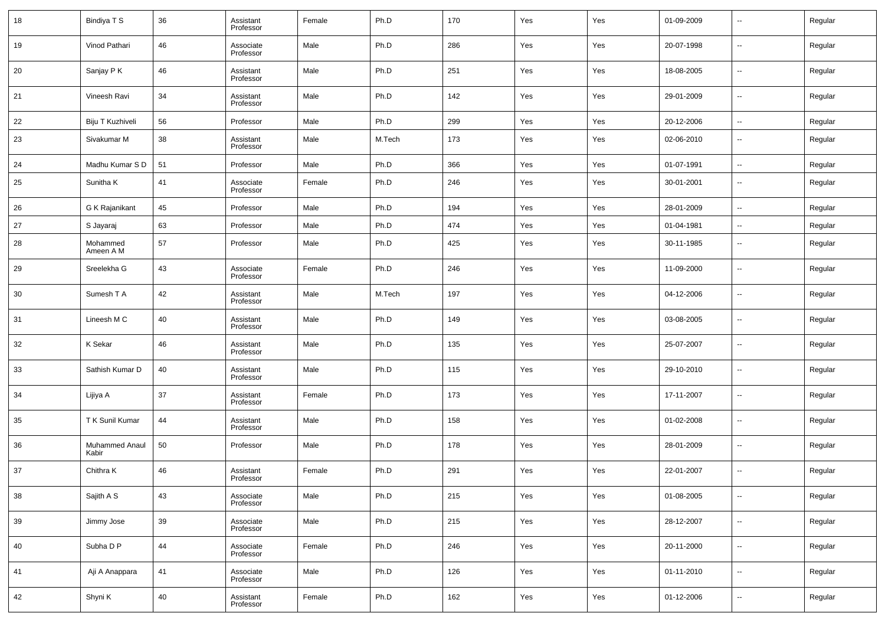| 18 | Bindiya T S             | 36 | Assistant<br>Professor | Female | Ph.D   | 170 | Yes | Yes | 01-09-2009 | $\overline{\phantom{a}}$ | Regular |
|----|-------------------------|----|------------------------|--------|--------|-----|-----|-----|------------|--------------------------|---------|
| 19 | Vinod Pathari           | 46 | Associate<br>Professor | Male   | Ph.D   | 286 | Yes | Yes | 20-07-1998 | $\overline{\phantom{a}}$ | Regular |
| 20 | Sanjay P K              | 46 | Assistant<br>Professor | Male   | Ph.D   | 251 | Yes | Yes | 18-08-2005 | $\overline{\phantom{a}}$ | Regular |
| 21 | Vineesh Ravi            | 34 | Assistant<br>Professor | Male   | Ph.D   | 142 | Yes | Yes | 29-01-2009 | $\overline{\phantom{a}}$ | Regular |
| 22 | Biju T Kuzhiveli        | 56 | Professor              | Male   | Ph.D   | 299 | Yes | Yes | 20-12-2006 | $\overline{\phantom{a}}$ | Regular |
| 23 | Sivakumar M             | 38 | Assistant<br>Professor | Male   | M.Tech | 173 | Yes | Yes | 02-06-2010 | $\overline{\phantom{a}}$ | Regular |
| 24 | Madhu Kumar S D         | 51 | Professor              | Male   | Ph.D   | 366 | Yes | Yes | 01-07-1991 | $\overline{\phantom{a}}$ | Regular |
| 25 | Sunitha K               | 41 | Associate<br>Professor | Female | Ph.D   | 246 | Yes | Yes | 30-01-2001 | $\overline{\phantom{a}}$ | Regular |
| 26 | G K Rajanikant          | 45 | Professor              | Male   | Ph.D   | 194 | Yes | Yes | 28-01-2009 | $\sim$                   | Regular |
| 27 | S Jayaraj               | 63 | Professor              | Male   | Ph.D   | 474 | Yes | Yes | 01-04-1981 | $\overline{\phantom{a}}$ | Regular |
| 28 | Mohammed<br>Ameen A M   | 57 | Professor              | Male   | Ph.D   | 425 | Yes | Yes | 30-11-1985 | $\overline{\phantom{a}}$ | Regular |
| 29 | Sreelekha G             | 43 | Associate<br>Professor | Female | Ph.D   | 246 | Yes | Yes | 11-09-2000 | $\overline{\phantom{a}}$ | Regular |
| 30 | Sumesh T A              | 42 | Assistant<br>Professor | Male   | M.Tech | 197 | Yes | Yes | 04-12-2006 | $\overline{\phantom{a}}$ | Regular |
| 31 | Lineesh M C             | 40 | Assistant<br>Professor | Male   | Ph.D   | 149 | Yes | Yes | 03-08-2005 | $\sim$                   | Regular |
| 32 | K Sekar                 | 46 | Assistant<br>Professor | Male   | Ph.D   | 135 | Yes | Yes | 25-07-2007 | $\overline{\phantom{a}}$ | Regular |
| 33 | Sathish Kumar D         | 40 | Assistant<br>Professor | Male   | Ph.D   | 115 | Yes | Yes | 29-10-2010 | $\sim$                   | Regular |
| 34 | Lijiya A                | 37 | Assistant<br>Professor | Female | Ph.D   | 173 | Yes | Yes | 17-11-2007 | $\overline{\phantom{a}}$ | Regular |
| 35 | T K Sunil Kumar         | 44 | Assistant<br>Professor | Male   | Ph.D   | 158 | Yes | Yes | 01-02-2008 | $\overline{\phantom{a}}$ | Regular |
| 36 | Muhammed Anaul<br>Kabir | 50 | Professor              | Male   | Ph.D   | 178 | Yes | Yes | 28-01-2009 | $\overline{\phantom{a}}$ | Regular |
| 37 | Chithra K               | 46 | Assistant<br>Professor | Female | Ph.D   | 291 | Yes | Yes | 22-01-2007 | $\sim$                   | Regular |
| 38 | Sajith A S              | 43 | Associate<br>Professor | Male   | Ph.D   | 215 | Yes | Yes | 01-08-2005 | $\sim$                   | Regular |
| 39 | Jimmy Jose              | 39 | Associate<br>Professor | Male   | Ph.D   | 215 | Yes | Yes | 28-12-2007 | $\overline{\phantom{a}}$ | Regular |
| 40 | Subha D P               | 44 | Associate<br>Professor | Female | Ph.D   | 246 | Yes | Yes | 20-11-2000 | $\sim$                   | Regular |
| 41 | Aji A Anappara          | 41 | Associate<br>Professor | Male   | Ph.D   | 126 | Yes | Yes | 01-11-2010 | $\overline{\phantom{a}}$ | Regular |
| 42 | Shyni K                 | 40 | Assistant<br>Professor | Female | Ph.D   | 162 | Yes | Yes | 01-12-2006 | $\sim$                   | Regular |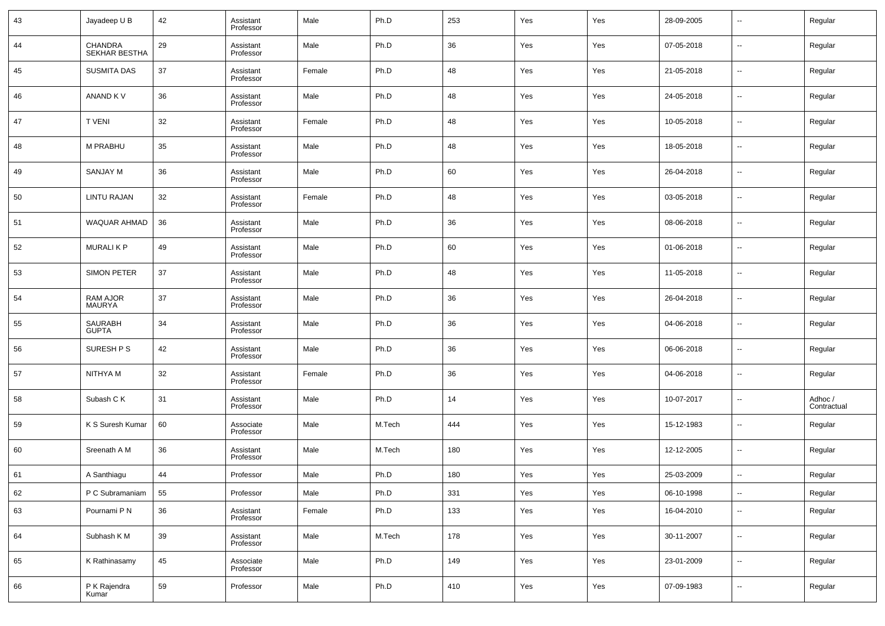| 43 | Jayadeep U B                    | 42 | Assistant<br>Professor | Male   | Ph.D   | 253 | Yes | Yes | 28-09-2005 | $\overline{\phantom{a}}$ | Regular                |
|----|---------------------------------|----|------------------------|--------|--------|-----|-----|-----|------------|--------------------------|------------------------|
| 44 | <b>CHANDRA</b><br>SEKHAR BESTHA | 29 | Assistant<br>Professor | Male   | Ph.D   | 36  | Yes | Yes | 07-05-2018 | $\overline{\phantom{a}}$ | Regular                |
| 45 | <b>SUSMITA DAS</b>              | 37 | Assistant<br>Professor | Female | Ph.D   | 48  | Yes | Yes | 21-05-2018 | $\overline{\phantom{a}}$ | Regular                |
| 46 | ANAND KV                        | 36 | Assistant<br>Professor | Male   | Ph.D   | 48  | Yes | Yes | 24-05-2018 | $\overline{\phantom{a}}$ | Regular                |
| 47 | <b>TVENI</b>                    | 32 | Assistant<br>Professor | Female | Ph.D   | 48  | Yes | Yes | 10-05-2018 | $\overline{\phantom{a}}$ | Regular                |
| 48 | M PRABHU                        | 35 | Assistant<br>Professor | Male   | Ph.D   | 48  | Yes | Yes | 18-05-2018 | $\overline{\phantom{a}}$ | Regular                |
| 49 | SANJAY M                        | 36 | Assistant<br>Professor | Male   | Ph.D   | 60  | Yes | Yes | 26-04-2018 | $\overline{\phantom{a}}$ | Regular                |
| 50 | <b>LINTU RAJAN</b>              | 32 | Assistant<br>Professor | Female | Ph.D   | 48  | Yes | Yes | 03-05-2018 | $\overline{\phantom{a}}$ | Regular                |
| 51 | <b>WAQUAR AHMAD</b>             | 36 | Assistant<br>Professor | Male   | Ph.D   | 36  | Yes | Yes | 08-06-2018 | $\overline{\phantom{a}}$ | Regular                |
| 52 | <b>MURALIKP</b>                 | 49 | Assistant<br>Professor | Male   | Ph.D   | 60  | Yes | Yes | 01-06-2018 | $\overline{\phantom{a}}$ | Regular                |
| 53 | <b>SIMON PETER</b>              | 37 | Assistant<br>Professor | Male   | Ph.D   | 48  | Yes | Yes | 11-05-2018 | $\overline{\phantom{a}}$ | Regular                |
| 54 | RAM AJOR<br>MAURYA              | 37 | Assistant<br>Professor | Male   | Ph.D   | 36  | Yes | Yes | 26-04-2018 | $\overline{\phantom{a}}$ | Regular                |
| 55 | <b>SAURABH</b><br><b>GUPTA</b>  | 34 | Assistant<br>Professor | Male   | Ph.D   | 36  | Yes | Yes | 04-06-2018 | $\overline{\phantom{a}}$ | Regular                |
| 56 | SURESH P S                      | 42 | Assistant<br>Professor | Male   | Ph.D   | 36  | Yes | Yes | 06-06-2018 | $\overline{\phantom{a}}$ | Regular                |
| 57 | NITHYA M                        | 32 | Assistant<br>Professor | Female | Ph.D   | 36  | Yes | Yes | 04-06-2018 | $\overline{\phantom{a}}$ | Regular                |
| 58 | Subash C K                      | 31 | Assistant<br>Professor | Male   | Ph.D   | 14  | Yes | Yes | 10-07-2017 | $\overline{\phantom{a}}$ | Adhoc /<br>Contractual |
| 59 | K S Suresh Kumar                | 60 | Associate<br>Professor | Male   | M.Tech | 444 | Yes | Yes | 15-12-1983 | $\overline{\phantom{a}}$ | Regular                |
| 60 | Sreenath A M                    | 36 | Assistant<br>Professor | Male   | M.Tech | 180 | Yes | Yes | 12-12-2005 | $\overline{\phantom{a}}$ | Regular                |
| 61 | A Santhiagu                     | 44 | Professor              | Male   | Ph.D   | 180 | Yes | Yes | 25-03-2009 | $\overline{\phantom{a}}$ | Regular                |
| 62 | P C Subramaniam                 | 55 | Professor              | Male   | Ph.D   | 331 | Yes | Yes | 06-10-1998 | $\overline{\phantom{a}}$ | Regular                |
| 63 | Pournami P N                    | 36 | Assistant<br>Professor | Female | Ph.D   | 133 | Yes | Yes | 16-04-2010 | $\sim$                   | Regular                |
| 64 | Subhash K M                     | 39 | Assistant<br>Professor | Male   | M.Tech | 178 | Yes | Yes | 30-11-2007 | $\sim$                   | Regular                |
| 65 | K Rathinasamy                   | 45 | Associate<br>Professor | Male   | Ph.D   | 149 | Yes | Yes | 23-01-2009 | $\sim$                   | Regular                |
| 66 | P K Rajendra<br>Kumar           | 59 | Professor              | Male   | Ph.D   | 410 | Yes | Yes | 07-09-1983 | $\sim$                   | Regular                |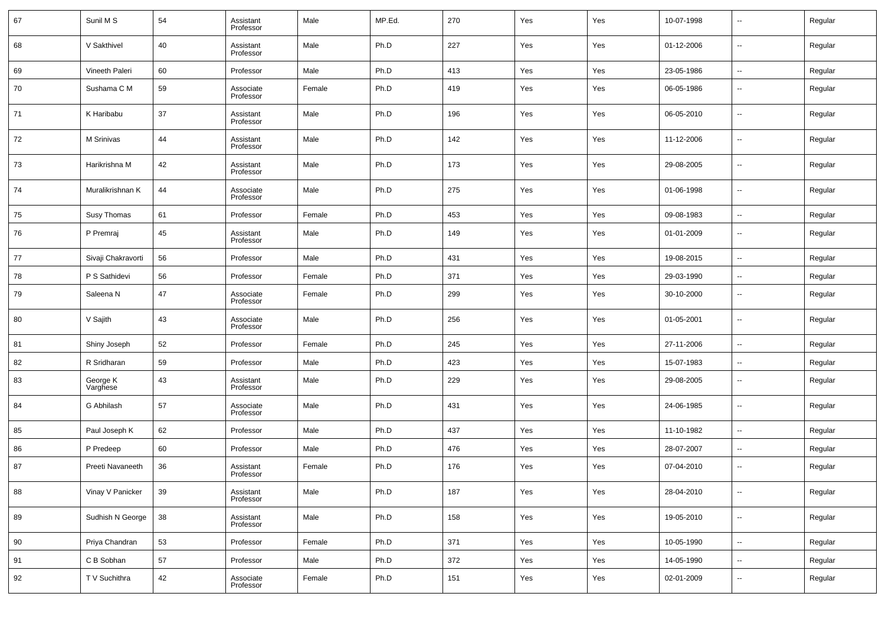| 67 | Sunil M S            | 54 | Assistant<br>Professor | Male   | MP.Ed. | 270 | Yes | Yes | 10-07-1998 | $\overline{\phantom{a}}$ | Regular |
|----|----------------------|----|------------------------|--------|--------|-----|-----|-----|------------|--------------------------|---------|
| 68 | V Sakthivel          | 40 | Assistant<br>Professor | Male   | Ph.D   | 227 | Yes | Yes | 01-12-2006 | $\overline{\phantom{a}}$ | Regular |
| 69 | Vineeth Paleri       | 60 | Professor              | Male   | Ph.D   | 413 | Yes | Yes | 23-05-1986 | $\sim$                   | Regular |
| 70 | Sushama C M          | 59 | Associate<br>Professor | Female | Ph.D   | 419 | Yes | Yes | 06-05-1986 | $\overline{\phantom{a}}$ | Regular |
| 71 | K Haribabu           | 37 | Assistant<br>Professor | Male   | Ph.D   | 196 | Yes | Yes | 06-05-2010 | $\overline{\phantom{a}}$ | Regular |
| 72 | M Srinivas           | 44 | Assistant<br>Professor | Male   | Ph.D   | 142 | Yes | Yes | 11-12-2006 | $\overline{\phantom{a}}$ | Regular |
| 73 | Harikrishna M        | 42 | Assistant<br>Professor | Male   | Ph.D   | 173 | Yes | Yes | 29-08-2005 | $\overline{\phantom{a}}$ | Regular |
| 74 | Muralikrishnan K     | 44 | Associate<br>Professor | Male   | Ph.D   | 275 | Yes | Yes | 01-06-1998 | $\overline{\phantom{a}}$ | Regular |
| 75 | Susy Thomas          | 61 | Professor              | Female | Ph.D   | 453 | Yes | Yes | 09-08-1983 | $\sim$                   | Regular |
| 76 | P Premraj            | 45 | Assistant<br>Professor | Male   | Ph.D   | 149 | Yes | Yes | 01-01-2009 | $\overline{\phantom{a}}$ | Regular |
| 77 | Sivaji Chakravorti   | 56 | Professor              | Male   | Ph.D   | 431 | Yes | Yes | 19-08-2015 | $\ddotsc$                | Regular |
| 78 | P S Sathidevi        | 56 | Professor              | Female | Ph.D   | 371 | Yes | Yes | 29-03-1990 | $\overline{\phantom{a}}$ | Regular |
| 79 | Saleena N            | 47 | Associate<br>Professor | Female | Ph.D   | 299 | Yes | Yes | 30-10-2000 | $\overline{\phantom{a}}$ | Regular |
| 80 | V Sajith             | 43 | Associate<br>Professor | Male   | Ph.D   | 256 | Yes | Yes | 01-05-2001 | $\overline{\phantom{a}}$ | Regular |
| 81 | Shiny Joseph         | 52 | Professor              | Female | Ph.D   | 245 | Yes | Yes | 27-11-2006 | $\sim$                   | Regular |
| 82 | R Sridharan          | 59 | Professor              | Male   | Ph.D   | 423 | Yes | Yes | 15-07-1983 | $\overline{\phantom{a}}$ | Regular |
| 83 | George K<br>Varghese | 43 | Assistant<br>Professor | Male   | Ph.D   | 229 | Yes | Yes | 29-08-2005 | $\overline{\phantom{a}}$ | Regular |
| 84 | G Abhilash           | 57 | Associate<br>Professor | Male   | Ph.D   | 431 | Yes | Yes | 24-06-1985 | $\overline{\phantom{a}}$ | Regular |
| 85 | Paul Joseph K        | 62 | Professor              | Male   | Ph.D   | 437 | Yes | Yes | 11-10-1982 | $\sim$                   | Regular |
| 86 | P Predeep            | 60 | Professor              | Male   | Ph.D   | 476 | Yes | Yes | 28-07-2007 | $\overline{\phantom{a}}$ | Regular |
| 87 | Preeti Navaneeth     | 36 | Assistant<br>Professor | Female | Ph.D   | 176 | Yes | Yes | 07-04-2010 | $\overline{\phantom{a}}$ | Regular |
| 88 | Vinay V Panicker     | 39 | Assistant<br>Professor | Male   | Ph.D   | 187 | Yes | Yes | 28-04-2010 | $\overline{\phantom{a}}$ | Regular |
| 89 | Sudhish N George     | 38 | Assistant<br>Professor | Male   | Ph.D   | 158 | Yes | Yes | 19-05-2010 | $\sim$                   | Regular |
| 90 | Priya Chandran       | 53 | Professor              | Female | Ph.D   | 371 | Yes | Yes | 10-05-1990 | $\overline{\phantom{a}}$ | Regular |
| 91 | C B Sobhan           | 57 | Professor              | Male   | Ph.D   | 372 | Yes | Yes | 14-05-1990 | $\overline{\phantom{a}}$ | Regular |
| 92 | T V Suchithra        | 42 | Associate<br>Professor | Female | Ph.D   | 151 | Yes | Yes | 02-01-2009 | $\overline{\phantom{a}}$ | Regular |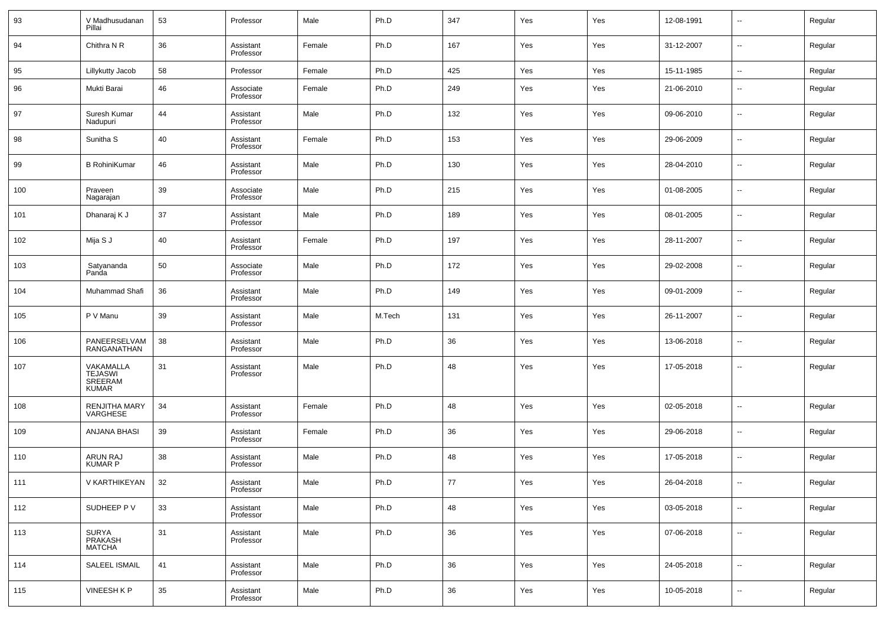| 93            | V Madhusudanan<br>Pillai                 | 53 | Professor              | Male   | Ph.D   | 347    | Yes | Yes | 12-08-1991 | $\overline{\phantom{a}}$ | Regular |
|---------------|------------------------------------------|----|------------------------|--------|--------|--------|-----|-----|------------|--------------------------|---------|
| 94            | Chithra N R                              | 36 | Assistant<br>Professor | Female | Ph.D   | 167    | Yes | Yes | 31-12-2007 | $\overline{\phantom{a}}$ | Regular |
| 95            | Lillykutty Jacob                         | 58 | Professor              | Female | Ph.D   | 425    | Yes | Yes | 15-11-1985 | ٠.                       | Regular |
| 96            | Mukti Barai                              | 46 | Associate<br>Professor | Female | Ph.D   | 249    | Yes | Yes | 21-06-2010 | н.                       | Regular |
| 97            | Suresh Kumar<br>Nadupuri                 | 44 | Assistant<br>Professor | Male   | Ph.D   | 132    | Yes | Yes | 09-06-2010 | ш,                       | Regular |
| 98            | Sunitha <sub>S</sub>                     | 40 | Assistant<br>Professor | Female | Ph.D   | 153    | Yes | Yes | 29-06-2009 | ш,                       | Regular |
| 99            | <b>B RohiniKumar</b>                     | 46 | Assistant<br>Professor | Male   | Ph.D   | 130    | Yes | Yes | 28-04-2010 | н.                       | Regular |
| 100           | Praveen<br>Nagarajan                     | 39 | Associate<br>Professor | Male   | Ph.D   | 215    | Yes | Yes | 01-08-2005 | ш,                       | Regular |
| 101           | Dhanaraj K J                             | 37 | Assistant<br>Professor | Male   | Ph.D   | 189    | Yes | Yes | 08-01-2005 | н.                       | Regular |
| 102           | Mija S J                                 | 40 | Assistant<br>Professor | Female | Ph.D   | 197    | Yes | Yes | 28-11-2007 | ш,                       | Regular |
| 103           | Satyananda<br>Panda                      | 50 | Associate<br>Professor | Male   | Ph.D   | 172    | Yes | Yes | 29-02-2008 | н.                       | Regular |
| 104           | Muhammad Shafi                           | 36 | Assistant<br>Professor | Male   | Ph.D   | 149    | Yes | Yes | 09-01-2009 | ш,                       | Regular |
| 105           | P V Manu                                 | 39 | Assistant<br>Professor | Male   | M.Tech | 131    | Yes | Yes | 26-11-2007 | ш,                       | Regular |
| 106           | PANEERSELVAM<br>RANGANATHAN              | 38 | Assistant<br>Professor | Male   | Ph.D   | 36     | Yes | Yes | 13-06-2018 | --                       | Regular |
| 107           | VAKAMALLA<br>TEJASWI<br>SREERAM<br>KUMAR | 31 | Assistant<br>Professor | Male   | Ph.D   | 48     | Yes | Yes | 17-05-2018 | --                       | Regular |
| 108           | RENJITHA MARY<br>VARGHESE                | 34 | Assistant<br>Professor | Female | Ph.D   | 48     | Yes | Yes | 02-05-2018 | ш,                       | Regular |
| 109           | ANJANA BHASI                             | 39 | Assistant<br>Professor | Female | Ph.D   | 36     | Yes | Yes | 29-06-2018 | н.                       | Regular |
| 110           | ARUN RAJ<br>KUMAR P                      | 38 | Assistant<br>Professor | Male   | Ph.D   | 48     | Yes | Yes | 17-05-2018 | ш,                       | Regular |
| $ 111\rangle$ | V KARTHIKEYAN                            | 32 | Assistant<br>Professor | Male   | Ph.D   | $77\,$ | Yes | Yes | 26-04-2018 |                          | Regular |
| 112           | SUDHEEP P V                              | 33 | Assistant<br>Professor | Male   | Ph.D   | 48     | Yes | Yes | 03-05-2018 | $\overline{\phantom{a}}$ | Regular |
| 113           | SURYA<br>PRAKASH<br>MATCHA               | 31 | Assistant<br>Professor | Male   | Ph.D   | 36     | Yes | Yes | 07-06-2018 | $\overline{\phantom{a}}$ | Regular |
| 114           | SALEEL ISMAIL                            | 41 | Assistant<br>Professor | Male   | Ph.D   | 36     | Yes | Yes | 24-05-2018 | $\sim$                   | Regular |
| 115           | VINEESH K P                              | 35 | Assistant<br>Professor | Male   | Ph.D   | 36     | Yes | Yes | 10-05-2018 | $\overline{\phantom{a}}$ | Regular |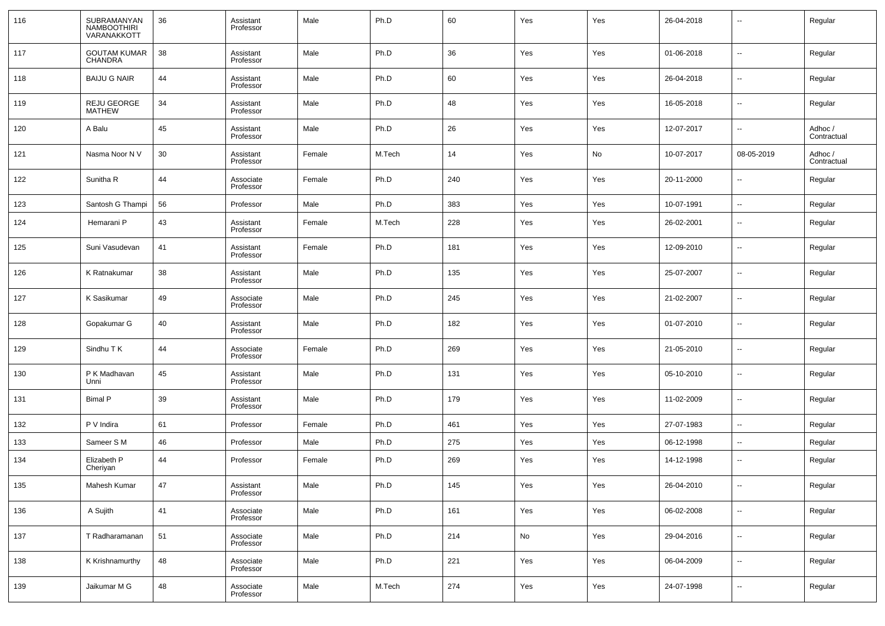| 116 | SUBRAMANYAN<br>NAMBOOTHIRI<br>VARANAKKOTT | 36 | Assistant<br>Professor | Male   | Ph.D   | 60  | Yes | Yes | 26-04-2018 | --                       | Regular                |
|-----|-------------------------------------------|----|------------------------|--------|--------|-----|-----|-----|------------|--------------------------|------------------------|
| 117 | <b>GOUTAM KUMAR</b><br><b>CHANDRA</b>     | 38 | Assistant<br>Professor | Male   | Ph.D   | 36  | Yes | Yes | 01-06-2018 | ш,                       | Regular                |
| 118 | <b>BAIJU G NAIR</b>                       | 44 | Assistant<br>Professor | Male   | Ph.D   | 60  | Yes | Yes | 26-04-2018 | --                       | Regular                |
| 119 | REJU GEORGE<br><b>MATHEW</b>              | 34 | Assistant<br>Professor | Male   | Ph.D   | 48  | Yes | Yes | 16-05-2018 | ш,                       | Regular                |
| 120 | A Balu                                    | 45 | Assistant<br>Professor | Male   | Ph.D   | 26  | Yes | Yes | 12-07-2017 | --                       | Adhoc /<br>Contractual |
| 121 | Nasma Noor N V                            | 30 | Assistant<br>Professor | Female | M.Tech | 14  | Yes | No  | 10-07-2017 | 08-05-2019               | Adhoc /<br>Contractual |
| 122 | Sunitha R                                 | 44 | Associate<br>Professor | Female | Ph.D   | 240 | Yes | Yes | 20-11-2000 | --                       | Regular                |
| 123 | Santosh G Thampi                          | 56 | Professor              | Male   | Ph.D   | 383 | Yes | Yes | 10-07-1991 | $\overline{\phantom{a}}$ | Regular                |
| 124 | Hemarani P                                | 43 | Assistant<br>Professor | Female | M.Tech | 228 | Yes | Yes | 26-02-2001 | --                       | Regular                |
| 125 | Suni Vasudevan                            | 41 | Assistant<br>Professor | Female | Ph.D   | 181 | Yes | Yes | 12-09-2010 | --                       | Regular                |
| 126 | K Ratnakumar                              | 38 | Assistant<br>Professor | Male   | Ph.D   | 135 | Yes | Yes | 25-07-2007 | --                       | Regular                |
| 127 | K Sasikumar                               | 49 | Associate<br>Professor | Male   | Ph.D   | 245 | Yes | Yes | 21-02-2007 | --                       | Regular                |
| 128 | Gopakumar G                               | 40 | Assistant<br>Professor | Male   | Ph.D   | 182 | Yes | Yes | 01-07-2010 | --                       | Regular                |
| 129 | Sindhu T K                                | 44 | Associate<br>Professor | Female | Ph.D   | 269 | Yes | Yes | 21-05-2010 | --                       | Regular                |
| 130 | P K Madhavan<br>Unni                      | 45 | Assistant<br>Professor | Male   | Ph.D   | 131 | Yes | Yes | 05-10-2010 | --                       | Regular                |
| 131 | <b>Bimal P</b>                            | 39 | Assistant<br>Professor | Male   | Ph.D   | 179 | Yes | Yes | 11-02-2009 | --                       | Regular                |
| 132 | P V Indira                                | 61 | Professor              | Female | Ph.D   | 461 | Yes | Yes | 27-07-1983 | --                       | Regular                |
| 133 | Sameer S M                                | 46 | Professor              | Male   | Ph.D   | 275 | Yes | Yes | 06-12-1998 | --                       | Regular                |
| 134 | Elizabeth P<br>Cheriyan                   | 44 | Professor              | Female | Ph.D   | 269 | Yes | Yes | 14-12-1998 | $\overline{a}$           | Regular                |
| 135 | Mahesh Kumar                              | 47 | Assistant<br>Professor | Male   | Ph.D   | 145 | Yes | Yes | 26-04-2010 | $\overline{\phantom{a}}$ | Regular                |
| 136 | A Sujith                                  | 41 | Associate<br>Professor | Male   | Ph.D   | 161 | Yes | Yes | 06-02-2008 | $\sim$                   | Regular                |
| 137 | T Radharamanan                            | 51 | Associate<br>Professor | Male   | Ph.D   | 214 | No  | Yes | 29-04-2016 | $\sim$                   | Regular                |
| 138 | K Krishnamurthy                           | 48 | Associate<br>Professor | Male   | Ph.D   | 221 | Yes | Yes | 06-04-2009 | $\sim$                   | Regular                |
| 139 | Jaikumar M G                              | 48 | Associate<br>Professor | Male   | M.Tech | 274 | Yes | Yes | 24-07-1998 | $\sim$                   | Regular                |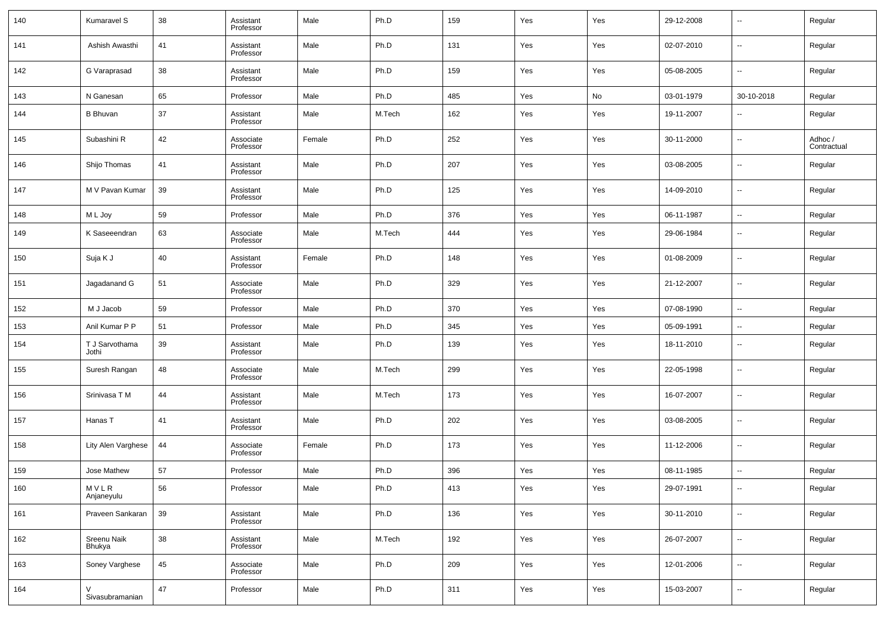| 140 | Kumaravel S             | 38 | Assistant<br>Professor | Male   | Ph.D   | 159 | Yes | Yes | 29-12-2008 | --                       | Regular                |
|-----|-------------------------|----|------------------------|--------|--------|-----|-----|-----|------------|--------------------------|------------------------|
| 141 | Ashish Awasthi          | 41 | Assistant<br>Professor | Male   | Ph.D   | 131 | Yes | Yes | 02-07-2010 | $\overline{\phantom{a}}$ | Regular                |
| 142 | G Varaprasad            | 38 | Assistant<br>Professor | Male   | Ph.D   | 159 | Yes | Yes | 05-08-2005 | $\overline{\phantom{a}}$ | Regular                |
| 143 | N Ganesan               | 65 | Professor              | Male   | Ph.D   | 485 | Yes | No  | 03-01-1979 | 30-10-2018               | Regular                |
| 144 | <b>B</b> Bhuvan         | 37 | Assistant<br>Professor | Male   | M.Tech | 162 | Yes | Yes | 19-11-2007 | $\overline{\phantom{a}}$ | Regular                |
| 145 | Subashini R             | 42 | Associate<br>Professor | Female | Ph.D   | 252 | Yes | Yes | 30-11-2000 | $\overline{\phantom{a}}$ | Adhoc /<br>Contractual |
| 146 | Shijo Thomas            | 41 | Assistant<br>Professor | Male   | Ph.D   | 207 | Yes | Yes | 03-08-2005 | $\overline{\phantom{a}}$ | Regular                |
| 147 | M V Pavan Kumar         | 39 | Assistant<br>Professor | Male   | Ph.D   | 125 | Yes | Yes | 14-09-2010 | $\overline{\phantom{a}}$ | Regular                |
| 148 | M L Joy                 | 59 | Professor              | Male   | Ph.D   | 376 | Yes | Yes | 06-11-1987 | $\overline{\phantom{a}}$ | Regular                |
| 149 | K Saseeendran           | 63 | Associate<br>Professor | Male   | M.Tech | 444 | Yes | Yes | 29-06-1984 | $\overline{\phantom{a}}$ | Regular                |
| 150 | Suja K J                | 40 | Assistant<br>Professor | Female | Ph.D   | 148 | Yes | Yes | 01-08-2009 | $\overline{\phantom{a}}$ | Regular                |
| 151 | Jagadanand G            | 51 | Associate<br>Professor | Male   | Ph.D   | 329 | Yes | Yes | 21-12-2007 | $\overline{\phantom{a}}$ | Regular                |
| 152 | M J Jacob               | 59 | Professor              | Male   | Ph.D   | 370 | Yes | Yes | 07-08-1990 | $\sim$                   | Regular                |
| 153 | Anil Kumar P P          | 51 | Professor              | Male   | Ph.D   | 345 | Yes | Yes | 05-09-1991 | --                       | Regular                |
| 154 | T J Sarvothama<br>Jothi | 39 | Assistant<br>Professor | Male   | Ph.D   | 139 | Yes | Yes | 18-11-2010 | $\overline{\phantom{a}}$ | Regular                |
| 155 | Suresh Rangan           | 48 | Associate<br>Professor | Male   | M.Tech | 299 | Yes | Yes | 22-05-1998 | $\overline{\phantom{a}}$ | Regular                |
| 156 | Srinivasa T M           | 44 | Assistant<br>Professor | Male   | M.Tech | 173 | Yes | Yes | 16-07-2007 | $\overline{\phantom{a}}$ | Regular                |
| 157 | Hanas T                 | 41 | Assistant<br>Professor | Male   | Ph.D   | 202 | Yes | Yes | 03-08-2005 | $\overline{\phantom{a}}$ | Regular                |
| 158 | Lity Alen Varghese      | 44 | Associate<br>Professor | Female | Ph.D   | 173 | Yes | Yes | 11-12-2006 | $\overline{\phantom{a}}$ | Regular                |
| 159 | Jose Mathew             | 57 | Professor              | Male   | Ph.D   | 396 | Yes | Yes | 08-11-1985 | --                       | Regular                |
| 160 | M V L R<br>Anjaneyulu   | 56 | Professor              | Male   | Ph.D   | 413 | Yes | Yes | 29-07-1991 | $\overline{\phantom{a}}$ | Regular                |
| 161 | Praveen Sankaran        | 39 | Assistant<br>Professor | Male   | Ph.D   | 136 | Yes | Yes | 30-11-2010 | $\overline{\phantom{a}}$ | Regular                |
| 162 | Sreenu Naik<br>Bhukya   | 38 | Assistant<br>Professor | Male   | M.Tech | 192 | Yes | Yes | 26-07-2007 | $\overline{\phantom{a}}$ | Regular                |
| 163 | Soney Varghese          | 45 | Associate<br>Professor | Male   | Ph.D   | 209 | Yes | Yes | 12-01-2006 | $\overline{\phantom{a}}$ | Regular                |
| 164 | Sivasubramanian         | 47 | Professor              | Male   | Ph.D   | 311 | Yes | Yes | 15-03-2007 | $\overline{\phantom{a}}$ | Regular                |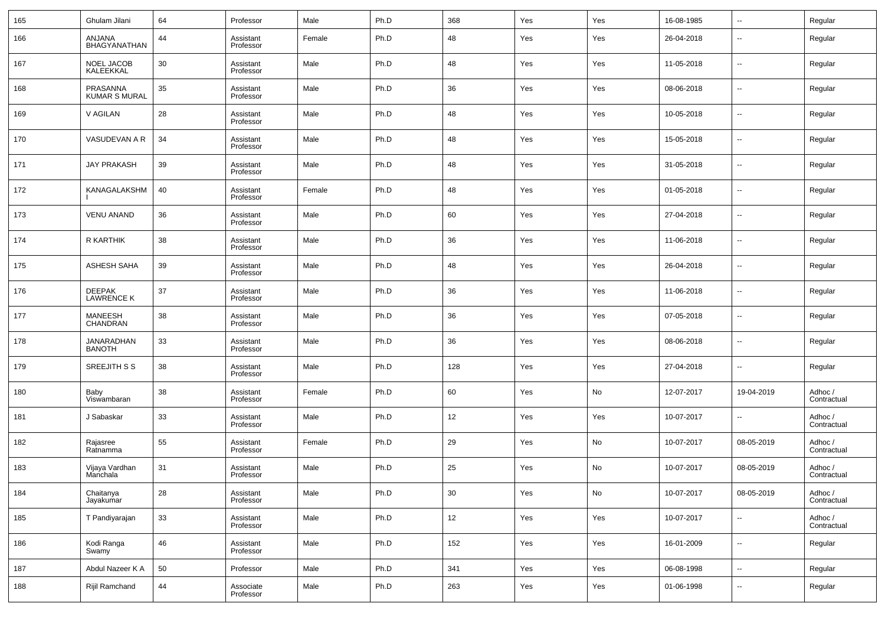| 165 | Ghulam Jilani                      | 64 | Professor              | Male   | Ph.D | 368 | Yes | Yes | 16-08-1985 | $\overline{\phantom{a}}$ | Regular                |
|-----|------------------------------------|----|------------------------|--------|------|-----|-----|-----|------------|--------------------------|------------------------|
| 166 | ANJANA<br>BHAGYANATHAN             | 44 | Assistant<br>Professor | Female | Ph.D | 48  | Yes | Yes | 26-04-2018 | $\overline{\phantom{a}}$ | Regular                |
| 167 | NOEL JACOB<br>KALEEKKAL            | 30 | Assistant<br>Professor | Male   | Ph.D | 48  | Yes | Yes | 11-05-2018 | $\overline{\phantom{a}}$ | Regular                |
| 168 | PRASANNA<br><b>KUMAR S MURAL</b>   | 35 | Assistant<br>Professor | Male   | Ph.D | 36  | Yes | Yes | 08-06-2018 | $\overline{\phantom{a}}$ | Regular                |
| 169 | V AGILAN                           | 28 | Assistant<br>Professor | Male   | Ph.D | 48  | Yes | Yes | 10-05-2018 | $\overline{\phantom{a}}$ | Regular                |
| 170 | VASUDEVAN A R                      | 34 | Assistant<br>Professor | Male   | Ph.D | 48  | Yes | Yes | 15-05-2018 | $\overline{\phantom{a}}$ | Regular                |
| 171 | <b>JAY PRAKASH</b>                 | 39 | Assistant<br>Professor | Male   | Ph.D | 48  | Yes | Yes | 31-05-2018 | $\overline{\phantom{a}}$ | Regular                |
| 172 | KANAGALAKSHM                       | 40 | Assistant<br>Professor | Female | Ph.D | 48  | Yes | Yes | 01-05-2018 | $\overline{\phantom{a}}$ | Regular                |
| 173 | <b>VENU ANAND</b>                  | 36 | Assistant<br>Professor | Male   | Ph.D | 60  | Yes | Yes | 27-04-2018 | $\overline{\phantom{a}}$ | Regular                |
| 174 | R KARTHIK                          | 38 | Assistant<br>Professor | Male   | Ph.D | 36  | Yes | Yes | 11-06-2018 | $\overline{\phantom{a}}$ | Regular                |
| 175 | ASHESH SAHA                        | 39 | Assistant<br>Professor | Male   | Ph.D | 48  | Yes | Yes | 26-04-2018 | $\overline{\phantom{a}}$ | Regular                |
| 176 | <b>DEEPAK</b><br><b>LAWRENCE K</b> | 37 | Assistant<br>Professor | Male   | Ph.D | 36  | Yes | Yes | 11-06-2018 | $\overline{\phantom{a}}$ | Regular                |
| 177 | MANEESH<br>CHANDRAN                | 38 | Assistant<br>Professor | Male   | Ph.D | 36  | Yes | Yes | 07-05-2018 | $\overline{\phantom{a}}$ | Regular                |
| 178 | JANARADHAN<br><b>BANOTH</b>        | 33 | Assistant<br>Professor | Male   | Ph.D | 36  | Yes | Yes | 08-06-2018 | $\ddotsc$                | Regular                |
| 179 | SREEJITH S S                       | 38 | Assistant<br>Professor | Male   | Ph.D | 128 | Yes | Yes | 27-04-2018 | $\overline{\phantom{a}}$ | Regular                |
| 180 | Baby<br>Viswambaran                | 38 | Assistant<br>Professor | Female | Ph.D | 60  | Yes | No  | 12-07-2017 | 19-04-2019               | Adhoc /<br>Contractual |
| 181 | J Sabaskar                         | 33 | Assistant<br>Professor | Male   | Ph.D | 12  | Yes | Yes | 10-07-2017 | $\ddotsc$                | Adhoc /<br>Contractual |
| 182 | Rajasree<br>Ratnamma               | 55 | Assistant<br>Professor | Female | Ph.D | 29  | Yes | No  | 10-07-2017 | 08-05-2019               | Adhoc /<br>Contractual |
| 183 | Vijaya Vardhan<br>Manchala         | 31 | Assistant<br>Professor | Male   | Ph.D | 25  | Yes | No  | 10-07-2017 | 08-05-2019               | Adhoc /<br>Contractual |
| 184 | Chaitanya<br>Jayakumar             | 28 | Assistant<br>Professor | Male   | Ph.D | 30  | Yes | No  | 10-07-2017 | 08-05-2019               | Adhoc /<br>Contractual |
| 185 | T Pandiyarajan                     | 33 | Assistant<br>Professor | Male   | Ph.D | 12  | Yes | Yes | 10-07-2017 | $\overline{\phantom{a}}$ | Adhoc /<br>Contractual |
| 186 | Kodi Ranga<br>Swamy                | 46 | Assistant<br>Professor | Male   | Ph.D | 152 | Yes | Yes | 16-01-2009 | $\overline{\phantom{a}}$ | Regular                |
| 187 | Abdul Nazeer K A                   | 50 | Professor              | Male   | Ph.D | 341 | Yes | Yes | 06-08-1998 | $\overline{\phantom{a}}$ | Regular                |
| 188 | Rijil Ramchand                     | 44 | Associate<br>Professor | Male   | Ph.D | 263 | Yes | Yes | 01-06-1998 | $\overline{\phantom{a}}$ | Regular                |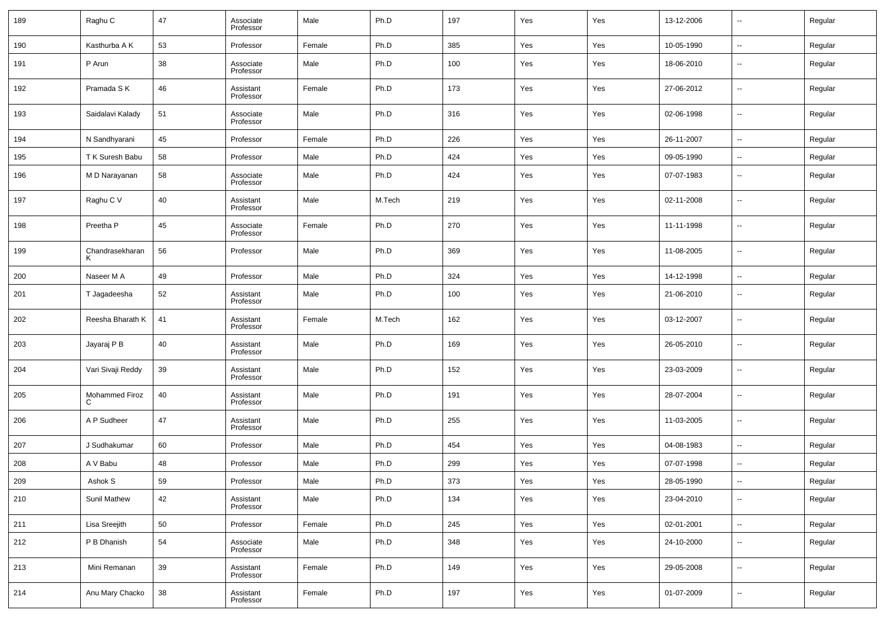| 189 | Raghu C             | 47 | Associate<br>Professor | Male   | Ph.D   | 197 | Yes | Yes | 13-12-2006 | $\ddotsc$                | Regular |
|-----|---------------------|----|------------------------|--------|--------|-----|-----|-----|------------|--------------------------|---------|
| 190 | Kasthurba A K       | 53 | Professor              | Female | Ph.D   | 385 | Yes | Yes | 10-05-1990 | $\overline{\phantom{a}}$ | Regular |
| 191 | P Arun              | 38 | Associate<br>Professor | Male   | Ph.D   | 100 | Yes | Yes | 18-06-2010 | $\overline{\phantom{a}}$ | Regular |
| 192 | Pramada S K         | 46 | Assistant<br>Professor | Female | Ph.D   | 173 | Yes | Yes | 27-06-2012 | ٠.                       | Regular |
| 193 | Saidalavi Kalady    | 51 | Associate<br>Professor | Male   | Ph.D   | 316 | Yes | Yes | 02-06-1998 | $\overline{\phantom{a}}$ | Regular |
| 194 | N Sandhyarani       | 45 | Professor              | Female | Ph.D   | 226 | Yes | Yes | 26-11-2007 | $\sim$                   | Regular |
| 195 | T K Suresh Babu     | 58 | Professor              | Male   | Ph.D   | 424 | Yes | Yes | 09-05-1990 | $\overline{\phantom{a}}$ | Regular |
| 196 | M D Narayanan       | 58 | Associate<br>Professor | Male   | Ph.D   | 424 | Yes | Yes | 07-07-1983 | $\ddotsc$                | Regular |
| 197 | Raghu C V           | 40 | Assistant<br>Professor | Male   | M.Tech | 219 | Yes | Yes | 02-11-2008 | ٠.                       | Regular |
| 198 | Preetha P           | 45 | Associate<br>Professor | Female | Ph.D   | 270 | Yes | Yes | 11-11-1998 | $\ddotsc$                | Regular |
| 199 | Chandrasekharan     | 56 | Professor              | Male   | Ph.D   | 369 | Yes | Yes | 11-08-2005 | $\sim$                   | Regular |
| 200 | Naseer M A          | 49 | Professor              | Male   | Ph.D   | 324 | Yes | Yes | 14-12-1998 | ÷.                       | Regular |
| 201 | T Jagadeesha        | 52 | Assistant<br>Professor | Male   | Ph.D   | 100 | Yes | Yes | 21-06-2010 | $\overline{\phantom{a}}$ | Regular |
| 202 | Reesha Bharath K    | 41 | Assistant<br>Professor | Female | M.Tech | 162 | Yes | Yes | 03-12-2007 | $\overline{\phantom{a}}$ | Regular |
| 203 | Jayaraj P B         | 40 | Assistant<br>Professor | Male   | Ph.D   | 169 | Yes | Yes | 26-05-2010 | $\sim$                   | Regular |
| 204 | Vari Sivaji Reddy   | 39 | Assistant<br>Professor | Male   | Ph.D   | 152 | Yes | Yes | 23-03-2009 | $\overline{\phantom{a}}$ | Regular |
| 205 | Mohammed Firoz<br>C | 40 | Assistant<br>Professor | Male   | Ph.D   | 191 | Yes | Yes | 28-07-2004 | $\sim$                   | Regular |
| 206 | A P Sudheer         | 47 | Assistant<br>Professor | Male   | Ph.D   | 255 | Yes | Yes | 11-03-2005 | $\overline{\phantom{a}}$ | Regular |
| 207 | J Sudhakumar        | 60 | Professor              | Male   | Ph.D   | 454 | Yes | Yes | 04-08-1983 | ٠.                       | Regular |
| 208 | A V Babu            | 48 | Professor              | Male   | Ph.D   | 299 | Yes | Yes | 07-07-1998 | ٠.                       | Regular |
| 209 | Ashok S             | 59 | Professor              | Male   | Ph.D   | 373 | Yes | Yes | 28-05-1990 |                          | Regular |
| 210 | Sunil Mathew        | 42 | Assistant<br>Professor | Male   | Ph.D   | 134 | Yes | Yes | 23-04-2010 | $\overline{\phantom{a}}$ | Regular |
| 211 | Lisa Sreejith       | 50 | Professor              | Female | Ph.D   | 245 | Yes | Yes | 02-01-2001 | $\overline{\phantom{a}}$ | Regular |
| 212 | P B Dhanish         | 54 | Associate<br>Professor | Male   | Ph.D   | 348 | Yes | Yes | 24-10-2000 | ⊷                        | Regular |
| 213 | Mini Remanan        | 39 | Assistant<br>Professor | Female | Ph.D   | 149 | Yes | Yes | 29-05-2008 | ⊷                        | Regular |
| 214 | Anu Mary Chacko     | 38 | Assistant<br>Professor | Female | Ph.D   | 197 | Yes | Yes | 01-07-2009 | н.                       | Regular |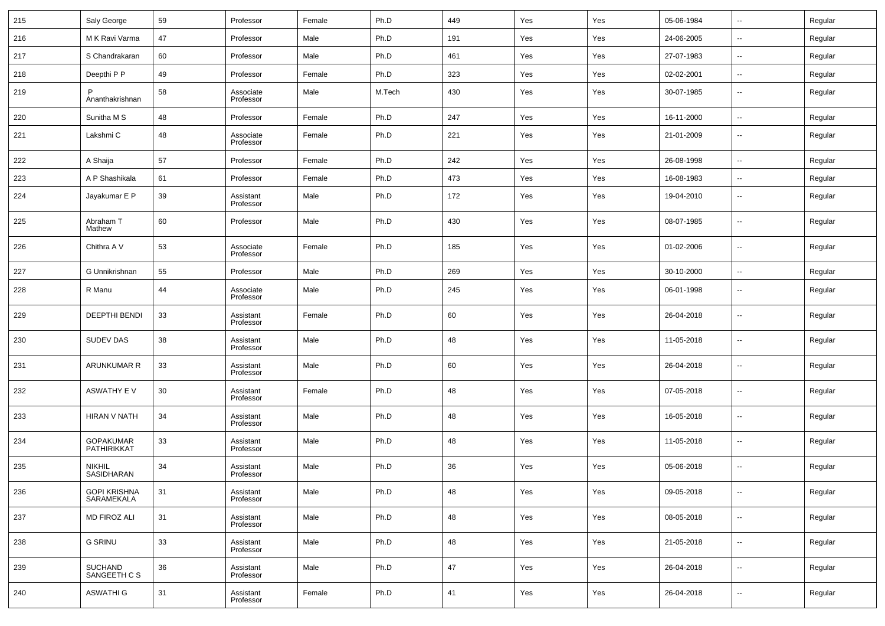| 215 | Saly George                 | 59 | Professor              | Female | Ph.D   | 449 | Yes | Yes | 05-06-1984 | $\overline{\phantom{a}}$     | Regular |
|-----|-----------------------------|----|------------------------|--------|--------|-----|-----|-----|------------|------------------------------|---------|
| 216 | M K Ravi Varma              | 47 | Professor              | Male   | Ph.D   | 191 | Yes | Yes | 24-06-2005 | $\overline{\phantom{a}}$     | Regular |
| 217 | S Chandrakaran              | 60 | Professor              | Male   | Ph.D   | 461 | Yes | Yes | 27-07-1983 | $\overline{\phantom{a}}$     | Regular |
| 218 | Deepthi P P                 | 49 | Professor              | Female | Ph.D   | 323 | Yes | Yes | 02-02-2001 | $\overline{\phantom{a}}$     | Regular |
| 219 | Ananthakrishnan             | 58 | Associate<br>Professor | Male   | M.Tech | 430 | Yes | Yes | 30-07-1985 | $\overline{\phantom{a}}$     | Regular |
| 220 | Sunitha M S                 | 48 | Professor              | Female | Ph.D   | 247 | Yes | Yes | 16-11-2000 | $\overline{\phantom{a}}$     | Regular |
| 221 | Lakshmi C                   | 48 | Associate<br>Professor | Female | Ph.D   | 221 | Yes | Yes | 21-01-2009 | $\overline{\phantom{a}}$     | Regular |
| 222 | A Shaija                    | 57 | Professor              | Female | Ph.D   | 242 | Yes | Yes | 26-08-1998 | $\overline{\phantom{a}}$     | Regular |
| 223 | A P Shashikala              | 61 | Professor              | Female | Ph.D   | 473 | Yes | Yes | 16-08-1983 | $\overline{\phantom{a}}$     | Regular |
| 224 | Jayakumar E P               | 39 | Assistant<br>Professor | Male   | Ph.D   | 172 | Yes | Yes | 19-04-2010 | $\overline{\phantom{a}}$     | Regular |
| 225 | Abraham T<br>Mathew         | 60 | Professor              | Male   | Ph.D   | 430 | Yes | Yes | 08-07-1985 | $\qquad \qquad \blacksquare$ | Regular |
| 226 | Chithra A V                 | 53 | Associate<br>Professor | Female | Ph.D   | 185 | Yes | Yes | 01-02-2006 | $\overline{\phantom{a}}$     | Regular |
| 227 | G Unnikrishnan              | 55 | Professor              | Male   | Ph.D   | 269 | Yes | Yes | 30-10-2000 | $\overline{\phantom{a}}$     | Regular |
| 228 | R Manu                      | 44 | Associate<br>Professor | Male   | Ph.D   | 245 | Yes | Yes | 06-01-1998 | $\overline{\phantom{a}}$     | Regular |
| 229 | <b>DEEPTHI BENDI</b>        | 33 | Assistant<br>Professor | Female | Ph.D   | 60  | Yes | Yes | 26-04-2018 | $\overline{\phantom{a}}$     | Regular |
| 230 | <b>SUDEV DAS</b>            | 38 | Assistant<br>Professor | Male   | Ph.D   | 48  | Yes | Yes | 11-05-2018 | $\overline{\phantom{a}}$     | Regular |
| 231 | <b>ARUNKUMAR R</b>          | 33 | Assistant<br>Professor | Male   | Ph.D   | 60  | Yes | Yes | 26-04-2018 | $\overline{\phantom{a}}$     | Regular |
| 232 | ASWATHY EV                  | 30 | Assistant<br>Professor | Female | Ph.D   | 48  | Yes | Yes | 07-05-2018 | $\overline{\phantom{a}}$     | Regular |
| 233 | <b>HIRAN V NATH</b>         | 34 | Assistant<br>Professor | Male   | Ph.D   | 48  | Yes | Yes | 16-05-2018 | $\overline{\phantom{a}}$     | Regular |
| 234 | GOPAKUMAR<br>PATHIRIKKAT    | 33 | Assistant<br>Professor | Male   | Ph.D   | 48  | Yes | Yes | 11-05-2018 | $\overline{\phantom{a}}$     | Regular |
| 235 | <b>NIKHIL</b><br>SASIDHARAN | 34 | Assistant<br>Professor | Male   | Ph.D   | 36  | Yes | Yes | 05-06-2018 | $\overline{\phantom{a}}$     | Regular |
| 236 | GOPI KRISHNA<br>SARAMEKALA  | 31 | Assistant<br>Professor | Male   | Ph.D   | 48  | Yes | Yes | 09-05-2018 | $\overline{\phantom{a}}$     | Regular |
| 237 | <b>MD FIROZ ALI</b>         | 31 | Assistant<br>Professor | Male   | Ph.D   | 48  | Yes | Yes | 08-05-2018 | $\overline{\phantom{a}}$     | Regular |
| 238 | <b>G SRINU</b>              | 33 | Assistant<br>Professor | Male   | Ph.D   | 48  | Yes | Yes | 21-05-2018 | $\overline{\phantom{a}}$     | Regular |
| 239 | SUCHAND<br>SANGEETH C S     | 36 | Assistant<br>Professor | Male   | Ph.D   | 47  | Yes | Yes | 26-04-2018 | $\overline{\phantom{a}}$     | Regular |
| 240 | <b>ASWATHI G</b>            | 31 | Assistant<br>Professor | Female | Ph.D   | 41  | Yes | Yes | 26-04-2018 | $\overline{\phantom{a}}$     | Regular |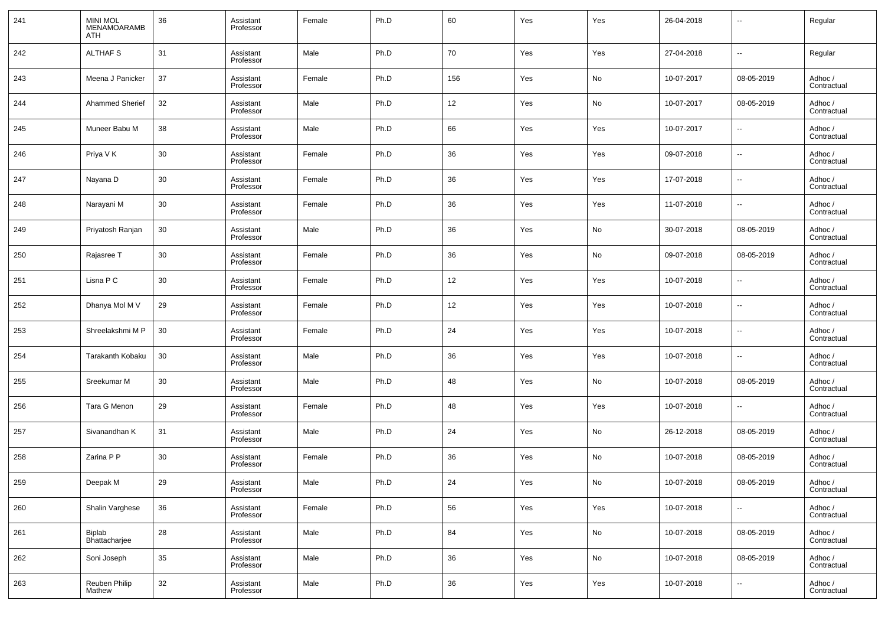| 241 | <b>MINI MOL</b><br><b>MENAMOARAMB</b><br>ATH | 36 | Assistant<br>Professor | Female | Ph.D | 60  | Yes | Yes           | 26-04-2018 | $\overline{\phantom{a}}$ | Regular                |
|-----|----------------------------------------------|----|------------------------|--------|------|-----|-----|---------------|------------|--------------------------|------------------------|
| 242 | <b>ALTHAF S</b>                              | 31 | Assistant<br>Professor | Male   | Ph.D | 70  | Yes | Yes           | 27-04-2018 | $\sim$                   | Regular                |
| 243 | Meena J Panicker                             | 37 | Assistant<br>Professor | Female | Ph.D | 156 | Yes | No            | 10-07-2017 | 08-05-2019               | Adhoc /<br>Contractual |
| 244 | <b>Ahammed Sherief</b>                       | 32 | Assistant<br>Professor | Male   | Ph.D | 12  | Yes | No            | 10-07-2017 | 08-05-2019               | Adhoc /<br>Contractual |
| 245 | Muneer Babu M                                | 38 | Assistant<br>Professor | Male   | Ph.D | 66  | Yes | Yes           | 10-07-2017 | $\sim$                   | Adhoc /<br>Contractual |
| 246 | Priya V K                                    | 30 | Assistant<br>Professor | Female | Ph.D | 36  | Yes | Yes           | 09-07-2018 | $\sim$                   | Adhoc /<br>Contractual |
| 247 | Nayana D                                     | 30 | Assistant<br>Professor | Female | Ph.D | 36  | Yes | Yes           | 17-07-2018 | --                       | Adhoc /<br>Contractual |
| 248 | Narayani M                                   | 30 | Assistant<br>Professor | Female | Ph.D | 36  | Yes | Yes           | 11-07-2018 | --                       | Adhoc /<br>Contractual |
| 249 | Priyatosh Ranjan                             | 30 | Assistant<br>Professor | Male   | Ph.D | 36  | Yes | No            | 30-07-2018 | 08-05-2019               | Adhoc /<br>Contractual |
| 250 | Rajasree T                                   | 30 | Assistant<br>Professor | Female | Ph.D | 36  | Yes | No            | 09-07-2018 | 08-05-2019               | Adhoc /<br>Contractual |
| 251 | Lisna P C                                    | 30 | Assistant<br>Professor | Female | Ph.D | 12  | Yes | Yes           | 10-07-2018 | --                       | Adhoc /<br>Contractual |
| 252 | Dhanya Mol M V                               | 29 | Assistant<br>Professor | Female | Ph.D | 12  | Yes | Yes           | 10-07-2018 | $\overline{\phantom{a}}$ | Adhoc /<br>Contractual |
| 253 | Shreelakshmi M P                             | 30 | Assistant<br>Professor | Female | Ph.D | 24  | Yes | Yes           | 10-07-2018 | $\sim$                   | Adhoc/<br>Contractual  |
| 254 | Tarakanth Kobaku                             | 30 | Assistant<br>Professor | Male   | Ph.D | 36  | Yes | Yes           | 10-07-2018 | $\sim$                   | Adhoc/<br>Contractual  |
| 255 | Sreekumar M                                  | 30 | Assistant<br>Professor | Male   | Ph.D | 48  | Yes | No            | 10-07-2018 | 08-05-2019               | Adhoc/<br>Contractual  |
| 256 | Tara G Menon                                 | 29 | Assistant<br>Professor | Female | Ph.D | 48  | Yes | Yes           | 10-07-2018 | $\ddotsc$                | Adhoc/<br>Contractual  |
| 257 | Sivanandhan K                                | 31 | Assistant<br>Professor | Male   | Ph.D | 24  | Yes | No            | 26-12-2018 | 08-05-2019               | Adhoc /<br>Contractual |
| 258 | Zarina P P                                   | 30 | Assistant<br>Professor | Female | Ph.D | 36  | Yes | No            | 10-07-2018 | 08-05-2019               | Adhoc /<br>Contractual |
| 259 | Deepak M                                     | 29 | Assistant<br>Professor | Male   | Ph.D | 24  | Yes | $\mathsf{No}$ | 10-07-2018 | 08-05-2019               | Adhoc /<br>Contractual |
| 260 | Shalin Varghese                              | 36 | Assistant<br>Professor | Female | Ph.D | 56  | Yes | Yes           | 10-07-2018 | $\overline{\phantom{a}}$ | Adhoc /<br>Contractual |
| 261 | Biplab<br>Bhattacharjee                      | 28 | Assistant<br>Professor | Male   | Ph.D | 84  | Yes | No            | 10-07-2018 | 08-05-2019               | Adhoc /<br>Contractual |
| 262 | Soni Joseph                                  | 35 | Assistant<br>Professor | Male   | Ph.D | 36  | Yes | No            | 10-07-2018 | 08-05-2019               | Adhoc /<br>Contractual |
| 263 | Reuben Philip<br>Mathew                      | 32 | Assistant<br>Professor | Male   | Ph.D | 36  | Yes | Yes           | 10-07-2018 | $\ddotsc$                | Adhoc /<br>Contractual |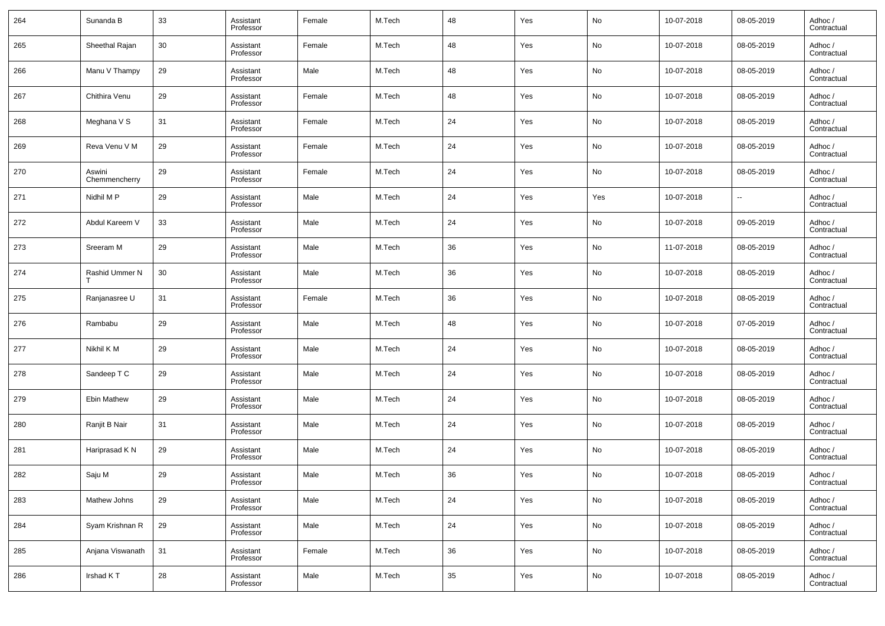| 264 | Sunanda B               | 33 | Assistant<br>Professor | Female | M.Tech | 48 | Yes | No  | 10-07-2018 | 08-05-2019 | Adhoc /<br>Contractual |
|-----|-------------------------|----|------------------------|--------|--------|----|-----|-----|------------|------------|------------------------|
| 265 | Sheethal Rajan          | 30 | Assistant<br>Professor | Female | M.Tech | 48 | Yes | No  | 10-07-2018 | 08-05-2019 | Adhoc /<br>Contractual |
| 266 | Manu V Thampy           | 29 | Assistant<br>Professor | Male   | M.Tech | 48 | Yes | No  | 10-07-2018 | 08-05-2019 | Adhoc /<br>Contractual |
| 267 | Chithira Venu           | 29 | Assistant<br>Professor | Female | M.Tech | 48 | Yes | No  | 10-07-2018 | 08-05-2019 | Adhoc /<br>Contractual |
| 268 | Meghana V S             | 31 | Assistant<br>Professor | Female | M.Tech | 24 | Yes | No  | 10-07-2018 | 08-05-2019 | Adhoc /<br>Contractual |
| 269 | Reva Venu V M           | 29 | Assistant<br>Professor | Female | M.Tech | 24 | Yes | No  | 10-07-2018 | 08-05-2019 | Adhoc /<br>Contractual |
| 270 | Aswini<br>Chemmencherry | 29 | Assistant<br>Professor | Female | M.Tech | 24 | Yes | No  | 10-07-2018 | 08-05-2019 | Adhoc /<br>Contractual |
| 271 | Nidhil M P              | 29 | Assistant<br>Professor | Male   | M.Tech | 24 | Yes | Yes | 10-07-2018 |            | Adhoc /<br>Contractual |
| 272 | Abdul Kareem V          | 33 | Assistant<br>Professor | Male   | M.Tech | 24 | Yes | No  | 10-07-2018 | 09-05-2019 | Adhoc /<br>Contractual |
| 273 | Sreeram M               | 29 | Assistant<br>Professor | Male   | M.Tech | 36 | Yes | No  | 11-07-2018 | 08-05-2019 | Adhoc /<br>Contractual |
| 274 | Rashid Ummer N          | 30 | Assistant<br>Professor | Male   | M.Tech | 36 | Yes | No  | 10-07-2018 | 08-05-2019 | Adhoc /<br>Contractual |
| 275 | Ranjanasree U           | 31 | Assistant<br>Professor | Female | M.Tech | 36 | Yes | No  | 10-07-2018 | 08-05-2019 | Adhoc /<br>Contractual |
| 276 | Rambabu                 | 29 | Assistant<br>Professor | Male   | M.Tech | 48 | Yes | No  | 10-07-2018 | 07-05-2019 | Adhoc /<br>Contractual |
| 277 | Nikhil K M              | 29 | Assistant<br>Professor | Male   | M.Tech | 24 | Yes | No  | 10-07-2018 | 08-05-2019 | Adhoc /<br>Contractual |
| 278 | Sandeep T C             | 29 | Assistant<br>Professor | Male   | M.Tech | 24 | Yes | No  | 10-07-2018 | 08-05-2019 | Adhoc /<br>Contractual |
| 279 | Ebin Mathew             | 29 | Assistant<br>Professor | Male   | M.Tech | 24 | Yes | No  | 10-07-2018 | 08-05-2019 | Adhoc /<br>Contractual |
| 280 | Ranjit B Nair           | 31 | Assistant<br>Professor | Male   | M.Tech | 24 | Yes | No  | 10-07-2018 | 08-05-2019 | Adhoc /<br>Contractual |
| 281 | Hariprasad K N          | 29 | Assistant<br>Professor | Male   | M.Tech | 24 | Yes | No  | 10-07-2018 | 08-05-2019 | Adhoc /<br>Contractual |
| 282 | Saju M                  | 29 | Assistant<br>Professor | Male   | M.Tech | 36 | Yes | No  | 10-07-2018 | 08-05-2019 | Adhoc /<br>Contractual |
| 283 | Mathew Johns            | 29 | Assistant<br>Professor | Male   | M.Tech | 24 | Yes | No  | 10-07-2018 | 08-05-2019 | Adhoc /<br>Contractual |
| 284 | Syam Krishnan R         | 29 | Assistant<br>Professor | Male   | M.Tech | 24 | Yes | No  | 10-07-2018 | 08-05-2019 | Adhoc /<br>Contractual |
| 285 | Anjana Viswanath        | 31 | Assistant<br>Professor | Female | M.Tech | 36 | Yes | No  | 10-07-2018 | 08-05-2019 | Adhoc /<br>Contractual |
| 286 | Irshad KT               | 28 | Assistant<br>Professor | Male   | M.Tech | 35 | Yes | No  | 10-07-2018 | 08-05-2019 | Adhoc /<br>Contractual |